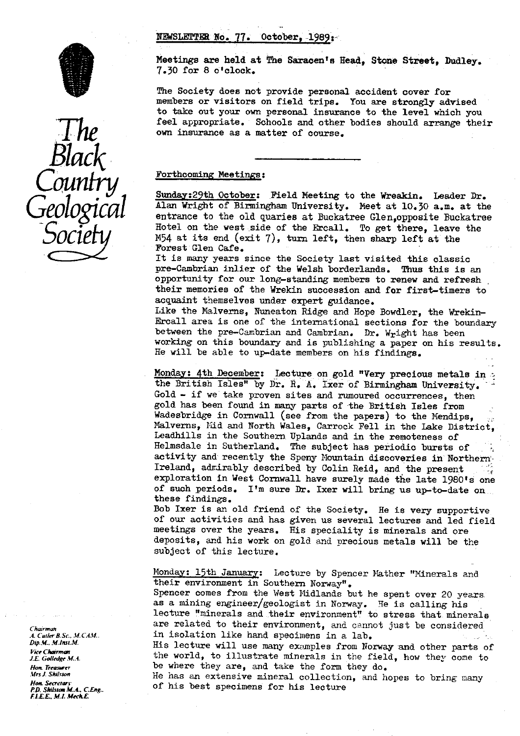# NEWSLETTER No. 77. October, 1989:



The<br>Black<br>Country<br>Geologica **ل** 

Meetings are held at The Saracen's Head, Stone Street, Dudley. 7.30 for 8 o'clock.

The Society does not provide personal accident cover for members or visitors on field trips. You are strongly advised to take out your own personal insurance to the level which you feel appropriate. Schools and other bodies should arrange their own insurance as a matter of course.

#### Forthcoming Meetings:

Sunday: 29th October: Field Meeting to the Wreakin. Leader Dr. Alan Wright of Birmingham University. Meet at 10.30 a.m. at the **Q**OLOGICOL Alan Wright of Birmingham University. Meet at 10.30 a.m. at the entrance to the old quaries at Buckatree Glen,opposite Buckatree • Hotel on the west side of the Ercall. To get there, leave the  $M54$  at its end (exit 7), turn left, then sharp left at the Forest Glen Cafe.

> It is many years since the Society last visited this classic pre-Cambrian inlier of the Welsh borderlands. Thus this is an opportunity for our long-standing members to renew and refresh their memories of the Wrekin succession and for first-timers to acquaint themselves under expert guidance.

Like the Malverns, Nuneaton Ridge and Hope Bowdler, the Wrekin-Ercall area is one of the international sections for the boundary between the pre-Cambrian and Cambrian. Dr. Wright has been working on this boundary and is publishing a paper on his results. He will be able to up-date members on his findings.

Monday: 4th December: Lecture on gold "Very precious metals in -s the British Isles" by Dr. R. A. Ixer of Birmingham University. Gold - if we take proven sites and rumoured occurrences, then gold has been found in many parts of the British Isles from Wadesbridge in Cornwall (see from the papers) to the Mendips, Malverns, Nid and North Wales, Carrock Fell in the Lake District, Leadhills in the Southern. Uplands and in the remoteness of Helmsdale in Sutherland. The subject has periodic bursts of activity and recently the Speny Mountain discoveries in Northern-<br>Ireland, admirably described by Colin Reid, and the present  $F_1$ -Ireland, admirably described by Colin Reid, and the present of such periods. I'm sure Dr. Ixer will bring us up-to-date on .. these findings.

Bob Ixer is an old friend of the Society. He is very supportive of our activities and has given us several lectures and led field meetings over the years. His speciality is minerals and ore deposits, and his work on gold and precious metals will be the subject of this lecture.

Monday: 15th January; Lecture by Spencer Mather "Minerals and their environment in Southern Norway".

Spencer comes from the West Midlands but he spent over 20 years as a mining engineer/geologist in Norway. He is calling his lecture "minerals and their environment" to stress that minerals are related to their environment, and cannot just be considered *Chairman* A. Cutter B.Sc., M.CAM. **in isolation like hand specimens in a lab.**<br>Dip.M., M.Inst.M. **in a laboration in the lecture will** use many oxemplos from No.

*Dip.M.. M.Iust.M.* **His lecture will use many examples from Norway and other parts of**  $\mu$ aedgr .WA. *.LE. G& edge* the world, *!* to illustrate minerals in the field, *,* how they come to be where they are, and take the form they do.

He has an extensive mineral collection, and hopes to bring many of his best specimens for his lecture

**Hon. Treasurer**<br>Mrs J. Shilston Hon. Secretary<br>P.D. Shilston M.A., C.Eng.. *FLEE,. !N1 Me\*E*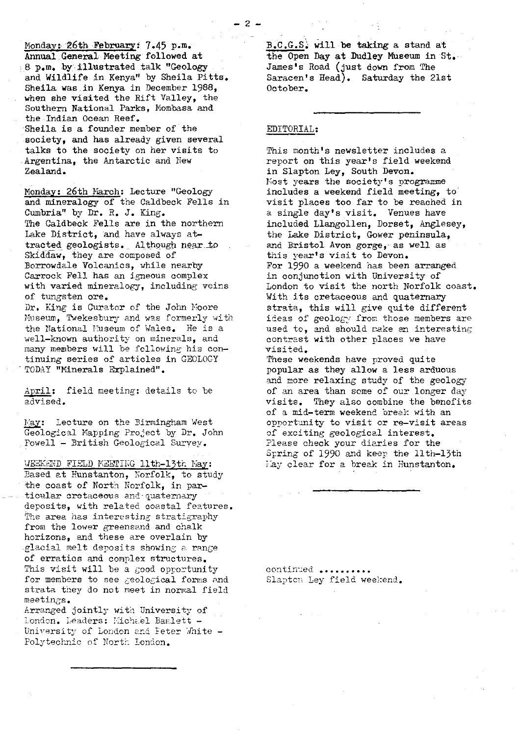Monday: 26th February: 7.45 p.m. Annual:General Meeting followed at **8-** p.m. by.- **Illustrated** talk "Geology and Wildlife. in Kenya" by Sheila Pitts. Sheila was in Kenya in December 1988, when she visited the Rift Valley, the Southern National Parks, Mombasa and the Indian Ocean Reef. Sheila is a founder member of the society, and has already given several talks to the society on her visits to Argentina, the Antarctic and New Zealand.

Monday: 26th March: Lecture "Geology and mineralogy of the Caldbeck Fells in Cumbria" by Dr. R. J. King. The Caldbeck Fells are in the northern Lake District, and have always attracted geologists. Although near ±o Skiddaw, they are composed of Borrowdale Volcanics, while nearby Carrock Fell has an igneous complex with varied mineralogy, including veins of tungsten ore.

Dr. King is Curator of the John Moore Museum, Twekesbury and was formerly with the National Museum of Wales. He is a well-known. authority on minerals, and many members will be following his continuing series of articles in GEOLOGY TODAY "Minerals Explained".

April: field meeting: details to be advised.

May: Lecture on the Birmingham West Geological Mapping Project by Dr. John Powell - British Geological Survey.

WEEKEND FIELD MEETING llth-13th Nay:

Based at Hunstanton, Norfolk, to study the coast of North Norfolk, in particular cretaceous and quaternary deposits, with related coastal features. The area has interesting stratigraphy from the lower greensand and chalk horizons, and these are overlain by glacial melt deposits showing a range of erratics and complex structures. This visit will be a good opportunity for members to see geological forms and strata they do not meet in normal field meetings.

Arranged jointly with University of London. Leaders: Michael Bamlett -University of London and Peter White -Polytechnic of North London.

 $B.C.G.S.$  will be taking a stand at the Open Day at Dudley Museum in St.- James's Road (just down from The Saracen's Head). Saturday the 21st October,

## EDITORIAL :

This month's newsletter includes a report on this year's field weekend in Slapton Ley, South Devon. Most years the society's programme includes a weekend field meeting, to visit places too far to be reached in a single day's visit. Venues have included Llangollen, Dorset, Anglesey, the Lake District, Gower peninsula, and Bristol Avon gorge, as well as this year's visit to Devon. For 1990 a weekend has been arranged in conjunction with University of London to visit the north Norfolk coast. With its cretaceous and quaternary strata, this will give quite different ideas of geology from those members are used to, and should rake en interesting contrast with other places we have visited.

These weekends have proved quite popular as they allow a less arduous and more relaxing study of the geology of an area than some of our longer da<sup>y</sup> visits. They also combine the benefits of a mid-term weekend break with an opportunity to visit or re-visit areas of exciting geological interest. Please check your diaries for the Spring of 1990 and keep the 11th-13th <sup>l</sup> ay clear for a break in Hunstanton.

continued ..... Slaptcn Ley field weekend.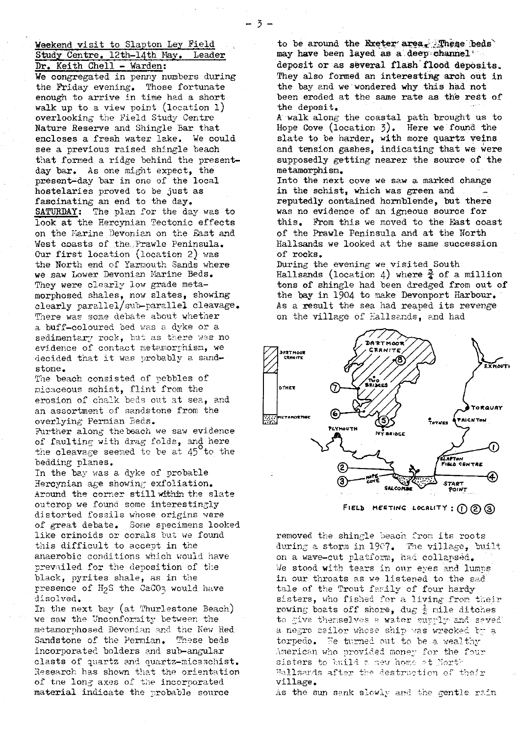## Weekend visit to Slapton Ley Field<br>Study Centre, 12th-14th May, Leader Study Centre. 12th-14th May. Dr. Keith Chell - Warden:

We congregated in penny numbers during the Friday evening. Those fortunate enough to arrive in time had a short walk up to a view point (location 1) overlooking the Field Study Centre Nature Reserve and Shingle Bar that encloses a fresh water lake. We could see a previous raised shingle beach that formed a ridge behind the presentday bar. As one might expect, the present-day bar in one of the local hostelaries proved to be just as fascinating an end to the day. SATURDAY: The plan for the day was to look at the Hercynian Tectonic effects on the Marine Devonian on the East and West coasts of the Prawle Peninsula. Our first location (location 2) was the North end of Yarmouth Sands where we saw Lower Devonian Marine Beds. They were clearly low grade metamorphosed shales, now slates, showing clearly parallel/sub-parallel cleavage. There was some debate about whether a buff-coloured bed was a dyke or a sedimentary rock, but as there was no evidence of contact metamorphism, we decided that it was probably a sandstone.

The beach consisted of pebbles of micaceous schist, flint from the erosion of chalk beds out at sea, and an assortment of sandstone from the overlying Permian Beds.

Further along the beach we saw evidence of faulting with drag folds, and here the cleavage seemed to be at  $45^{\circ}$  to the bedding planes.

In the bay was a dyke of probable Hercynian age showing exfoliation. Around the corner still within the slate outcrop we found some interestingly distorted fossils whose origins were of great debate. Some specimens looked like crinoids or corals but we found this difficult to accent in the anaerobic conditions which would have prevailed for the deposition of the black, pyrites shale, as in the presence of H<sub>2</sub>S the CaCO<sub>3</sub> would have<br>discluse disolved.

In the next bay (at Thurlestone Beach) we saw the Unconfonnit<sup>y</sup> between: the metamorp hosed Devonian and the New Red Sandstone of the Permian, These beds incorporated holders and sub-angular clasts of quartz and quartz-micaschist. Research has shown that the orientation <sup>o</sup>f the long axes of the incorporated material indicate the probable source

to be around the Exeter' area. These beds may have been layed as a deep channel

deposit or as several flash flood deposits. They also formed an interesting arch out in the bay and we wondered why this had not been eroded at the same rate as the rest of the deposit.

A walk along the coastal path brought us to Hope Cove (location 3). Here we found the slate to be harder, with more quartz veins. and tension gashes, indicating that we were supposedly getting nearer the source of the metamorphism.

Into the next cove we saw a marked change in the schist, which was green and reputedly contained hornblende, but there was no evidence of an igneous source for this. From this we moved to the East coast of the Prawle Peninsula and at the North Hallsands we looked at the same succession of rocks.

During the evening we visited South Hallsands (location 4) where  $\frac{3}{4}$  of a million tons of shingle had been dredged from out of the bay in 1904 to make Devonport Harbour. As a result the sea had reaped its revenge on the village of Hallsands, and had



FIELD MEETING LOCALITY :  $(1)$   $(2)$   $(3)$ 

removed the shingle beach from its roots during a storm in 1907. The village, built on a wave-cut platform, had collapsed. We stood with tears in our eyes and lumps in our throats as we listened to the sad tale of the Trout family of four hardy sisters, who fished for a living from their rowing boats off shore, dug  $\frac{1}{2}$  mile ditches<br>to sixe thangelica a veter surply bra cove rowing boats off shore, dug  $\frac{1}{C}$  mile ditche<br>to give themselves a water supply and sav a negro sailor whose ship was wrecked by a torpedo. He turned out to be a wealthy American who provided money for the four sisters to build a new home at North Hallsands after the destruction of their village.

As the sun sank slowly and the gentle rain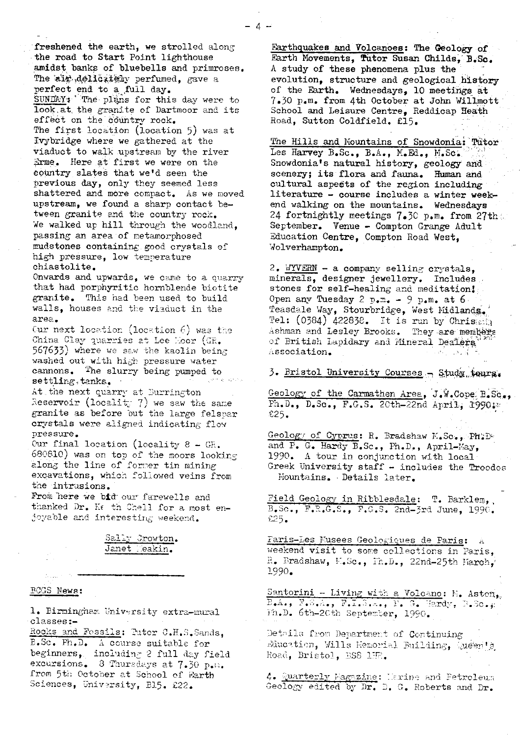freshened the earth, we strolled along the road to Start Point lighthouse amidst banks of bluebells and primroses. The air delicately perfumed, gave a perfect end to a full day. SUNDAY: The plans for this day were to look: at, the granite of Dartmoor and its effect on the country rock. The first location (location 5) was at Ivybridge where we gathered at the viaduct to walk upstream by the river Erme. Here at first we were on the country slates that we'd seen the previous day, only they seemed less shattered and more compact. As we moved upstream, we found a sharp contact between granite and the country rock. We walked up hill through the woodland, passing an area of metamorphosed mudstones containing good crystals of high pressure, low temperature chiastolite.

Onwards and upwards, we came to a quarry that had porphyritic hornblende biotite granite. This had been used to build walls, houses and the viaduct in the area.

Cur next location (location  $6$ ) was the **China** Clay quarries at Lee Moor (GR. 567633) where we saw the kaolin being washed out with high pressure water cannons. The slurry being pumped to settling.tanks.

At the next quarry at Burrington Reservoir (locality 7) we saw the same granite as before but the large felspar crystals were aligned indicating flow pressure.

Our final location (locality 8 - GE. 680810) was on top of the moors looking along the line of former tin mining excavations, which followed veins from the intrusions.

From here we bid our farewells and thanked Dr. Ke th Chell for a most enjoyable and interesting weekend.

Sally Crowton. Janet Heakin.

#### **ROGS News[:](news:)**

1. Birmingham University extra-mural classes:-

Rocks and Fossils: Putor C.H.S.Sands, B.Sc. Ph.D. A course suitable for beginners, including 2 full day field excursions. 8 Thursdays at 7.30 p.m. from 5th October at School of Earth Sciences, University, B15. £22.

Earthquakes and Volcanoes: The Geology of. Earth Movements, Tutor Susan Childs, B.Sc. A study of these phenomena plus the evolution, structure and geological history of the Earth. Wednesdays, 10 meetings at 7.30 p.m. from 4th October at John Willmott School and Leisure Centre, Reddicap Beath Road, Sutton Coldfield. €15.

The Hills and Mountains of Snowdonia: Tutor Les Harvey B.Sc., B.A., M.Ed., M.Sc. Snowdonia's natural history, geology and scenery; its flora and fauna. Human and cultural aspedts of the region including literature - course includes a winter weekend walking on the mountains. Wednesdays 24 fortnightly meetings 7.30 p.m. from 27th; September. Venue - Compton Grange Adult Education Centre, Compton Road West, Wolverhampton.

2. WYVERN -- a company selling crystals, minerals, designer jewellery. Includes stones for self-healing and meditation! Open any Tuesday 2  $p_{\bullet}m_{\bullet} - 9 p_{\bullet}m_{\bullet}$  at 6. Teasdale Way, Stourbridge, West Midlands. Tel:  $(0384)$  422838. It is run by Chris. Ashman and Lesley Brooks. They are members of British Lapidary and Mineral Dealers Association.

3. Bristol University Courses - Study, tours.

Geology of the Carmathen Area, J.W.Cope B.SG,, Fh.D., D.Sc., F.G.S. 20th-22nd April.; 1990;

Geology of Cyprus: R. Bradshaw K.Sc., Ph.D. and P. G. Hardy B.Sc., Ph.D., April-May, 1990. A tour in conjunction with local Greek University staff - includes the Troodos fountains. - Details later.

Field Geology in Ribblesdale: T. Barklem, B.Sc., F.R.G.S., F.G.S. 2nd-3rd June, 1990.  $$25.$ 

Faris-Les Nusees Geologiques de Paris: .. weekend visit to some collections in Paris,.  $E$ . Bradshaw,  $E.Sc$ .,  $Fr.D.$ , 22nd-25th  $Karch$ . 1990.

Santorini - Living with a Volcano: N. Aston,.  $E_{\bullet}A_{\bullet}$ ,  $F_{\bullet}S_{\bullet}A_{\bullet}$ ,  $F_{\bullet}T_{\bullet}S_{\bullet}A_{\bullet}$ ,  $Y_{\bullet}G_{\bullet}$  Hardy,  $R_{\bullet}S_{\bullet}$ , Fh.D. 6th-2Cth September, 1990.

Details from Department of Continuing Education, Wills Hemorial Building, Queen's Road, Bristol, BS8 1HR.

 $\emph{4-Quanterly Lagrange:}$  larine and Fetroleum Geology edited by Dr. D. G. Roberts and Dr.